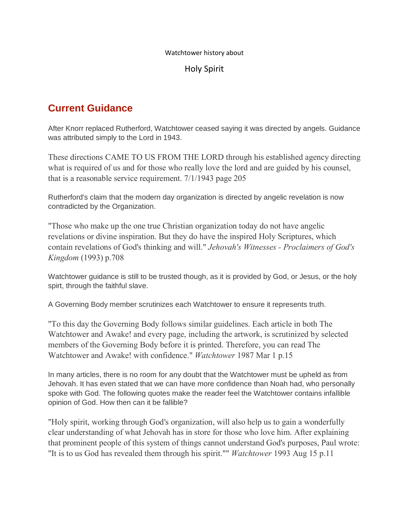#### Watchtower history about

#### Holy Spirit

## **Current Guidance**

After Knorr replaced Rutherford, Watchtower ceased saying it was directed by angels. Guidance was attributed simply to the Lord in 1943.

These directions CAME TO US FROM THE LORD through his established agency directing what is required of us and for those who really love the lord and are guided by his counsel, that is a reasonable service requirement. 7/1/1943 page 205

Rutherford's claim that the modern day organization is directed by angelic revelation is now contradicted by the Organization.

"Those who make up the one true Christian organization today do not have angelic revelations or divine inspiration. But they do have the inspired Holy Scriptures, which contain revelations of God's thinking and will." *Jehovah's Witnesses - Proclaimers of God's Kingdom* (1993) p.708

Watchtower guidance is still to be trusted though, as it is provided by God, or Jesus, or the holy spirt, through the faithful slave.

A Governing Body member scrutinizes each Watchtower to ensure it represents truth.

"To this day the Governing Body follows similar guidelines. Each article in both The Watchtower and Awake! and every page, including the artwork, is scrutinized by selected members of the Governing Body before it is printed. Therefore, you can read The Watchtower and Awake! with confidence." *Watchtower* 1987 Mar 1 p.15

In many articles, there is no room for any doubt that the Watchtower must be upheld as from Jehovah. It has even stated that we can have more confidence than Noah had, who personally spoke with God. The following quotes make the reader feel the Watchtower contains infallible opinion of God. How then can it be fallible?

"Holy spirit, working through God's organization, will also help us to gain a wonderfully clear understanding of what Jehovah has in store for those who love him. After explaining that prominent people of this system of things cannot understand God's purposes, Paul wrote: "It is to us God has revealed them through his spirit."" *Watchtower* 1993 Aug 15 p.11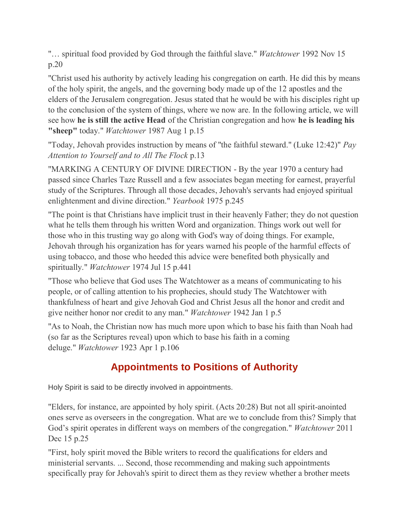"… spiritual food provided by God through the faithful slave." *Watchtower* 1992 Nov 15 p.20

"Christ used his authority by actively leading his congregation on earth. He did this by means of the holy spirit, the angels, and the governing body made up of the 12 apostles and the elders of the Jerusalem congregation. Jesus stated that he would be with his disciples right up to the conclusion of the system of things, where we now are. In the following article, we will see how **he is still the active Head** of the Christian congregation and how **he is leading his "sheep"** today." *Watchtower* 1987 Aug 1 p.15

"Today, Jehovah provides instruction by means of "the faithful steward." (Luke 12:42)" *Pay Attention to Yourself and to All The Flock* p.13

"MARKING A CENTURY OF DIVINE DIRECTION - By the year 1970 a century had passed since Charles Taze Russell and a few associates began meeting for earnest, prayerful study of the Scriptures. Through all those decades, Jehovah's servants had enjoyed spiritual enlightenment and divine direction." *Yearbook* 1975 p.245

"The point is that Christians have implicit trust in their heavenly Father; they do not question what he tells them through his written Word and organization. Things work out well for those who in this trusting way go along with God's way of doing things. For example, Jehovah through his organization has for years warned his people of the harmful effects of using tobacco, and those who heeded this advice were benefited both physically and spiritually." *Watchtower* 1974 Jul 15 p.441

"Those who believe that God uses The Watchtower as a means of communicating to his people, or of calling attention to his prophecies, should study The Watchtower with thankfulness of heart and give Jehovah God and Christ Jesus all the honor and credit and give neither honor nor credit to any man." *Watchtower* 1942 Jan 1 p.5

"As to Noah, the Christian now has much more upon which to base his faith than Noah had (so far as the Scriptures reveal) upon which to base his faith in a coming deluge." *Watchtower* 1923 Apr 1 p.106

# **Appointments to Positions of Authority**

Holy Spirit is said to be directly involved in appointments.

"Elders, for instance, are appointed by holy spirit. (Acts 20:28) But not all spirit-anointed ones serve as overseers in the congregation. What are we to conclude from this? Simply that God's spirit operates in different ways on members of the congregation." *Watchtower* 2011 Dec 15 p.25

"First, holy spirit moved the Bible writers to record the qualifications for elders and ministerial servants. ... Second, those recommending and making such appointments specifically pray for Jehovah's spirit to direct them as they review whether a brother meets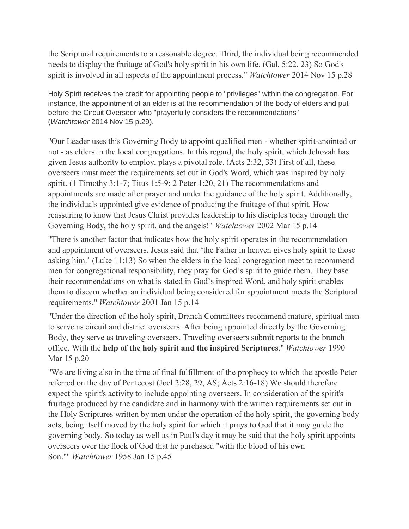the Scriptural requirements to a reasonable degree. Third, the individual being recommended needs to display the fruitage of God's holy spirit in his own life. (Gal. 5:22, 23) So God's spirit is involved in all aspects of the appointment process." *Watchtower* 2014 Nov 15 p.28

Holy Spirit receives the credit for appointing people to "privileges" within the congregation. For instance, the appointment of an elder is at the recommendation of the body of elders and put before the Circuit Overseer who "prayerfully considers the recommendations" (*Watchtower* 2014 Nov 15 p.29).

"Our Leader uses this Governing Body to appoint qualified men - whether spirit-anointed or not - as elders in the local congregations. In this regard, the holy spirit, which Jehovah has given Jesus authority to employ, plays a pivotal role. (Acts 2:32, 33) First of all, these overseers must meet the requirements set out in God's Word, which was inspired by holy spirit. (1 Timothy 3:1-7; Titus 1:5-9; 2 Peter 1:20, 21) The recommendations and appointments are made after prayer and under the guidance of the holy spirit. Additionally, the individuals appointed give evidence of producing the fruitage of that spirit. How reassuring to know that Jesus Christ provides leadership to his disciples today through the Governing Body, the holy spirit, and the angels!" *Watchtower* 2002 Mar 15 p.14

"There is another factor that indicates how the holy spirit operates in the recommendation and appointment of overseers. Jesus said that 'the Father in heaven gives holy spirit to those asking him.' (Luke 11:13) So when the elders in the local congregation meet to recommend men for congregational responsibility, they pray for God's spirit to guide them. They base their recommendations on what is stated in God's inspired Word, and holy spirit enables them to discern whether an individual being considered for appointment meets the Scriptural requirements." *Watchtower* 2001 Jan 15 p.14

"Under the direction of the holy spirit, Branch Committees recommend mature, spiritual men to serve as circuit and district overseers. After being appointed directly by the Governing Body, they serve as traveling overseers. Traveling overseers submit reports to the branch office. With the **help of the holy spirit and the inspired Scriptures**." *Watchtower* 1990 Mar 15 p.20

"We are living also in the time of final fulfillment of the prophecy to which the apostle Peter referred on the day of Pentecost (Joel 2:28, 29, AS; Acts 2:16-18) We should therefore expect the spirit's activity to include appointing overseers. In consideration of the spirit's fruitage produced by the candidate and in harmony with the written requirements set out in the Holy Scriptures written by men under the operation of the holy spirit, the governing body acts, being itself moved by the holy spirit for which it prays to God that it may guide the governing body. So today as well as in Paul's day it may be said that the holy spirit appoints overseers over the flock of God that he purchased "with the blood of his own Son."" *Watchtower* 1958 Jan 15 p.45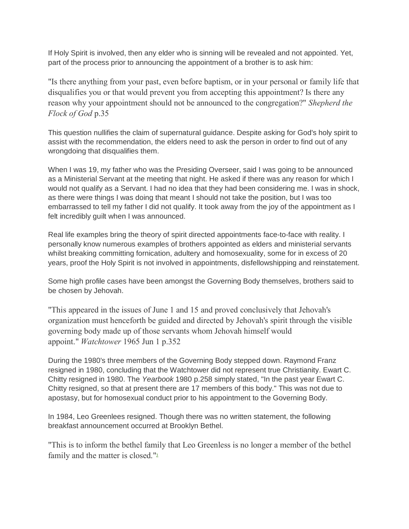If Holy Spirit is involved, then any elder who is sinning will be revealed and not appointed. Yet, part of the process prior to announcing the appointment of a brother is to ask him:

"Is there anything from your past, even before baptism, or in your personal or family life that disqualifies you or that would prevent you from accepting this appointment? Is there any reason why your appointment should not be announced to the congregation?" *Shepherd the Flock of God* p.35

This question nullifies the claim of supernatural guidance. Despite asking for God's holy spirit to assist with the recommendation, the elders need to ask the person in order to find out of any wrongdoing that disqualifies them.

When I was 19, my father who was the Presiding Overseer, said I was going to be announced as a Ministerial Servant at the meeting that night. He asked if there was any reason for which I would not qualify as a Servant. I had no idea that they had been considering me. I was in shock, as there were things I was doing that meant I should not take the position, but I was too embarrassed to tell my father I did not qualify. It took away from the joy of the appointment as I felt incredibly guilt when I was announced.

Real life examples bring the theory of spirit directed appointments face-to-face with reality. I personally know numerous examples of brothers appointed as elders and ministerial servants whilst breaking committing fornication, adultery and homosexuality, some for in excess of 20 years, proof the Holy Spirit is not involved in appointments, disfellowshipping and reinstatement.

Some high profile cases have been amongst the Governing Body themselves, brothers said to be chosen by Jehovah.

"This appeared in the issues of June 1 and 15 and proved conclusively that Jehovah's organization must henceforth be guided and directed by Jehovah's spirit through the visible governing body made up of those servants whom Jehovah himself would appoint." *Watchtower* 1965 Jun 1 p.352

During the 1980's three members of the Governing Body stepped down. Raymond Franz resigned in 1980, concluding that the Watchtower did not represent true Christianity. Ewart C. Chitty resigned in 1980. The *Yearbook* 1980 p.258 simply stated, "In the past year Ewart C. Chitty resigned, so that at present there are 17 members of this body." This was not due to apostasy, but for homosexual conduct prior to his appointment to the Governing Body.

In 1984, Leo Greenlees resigned. Though there was no written statement, the following breakfast announcement occurred at Brooklyn Bethel.

"This is to inform the bethel family that Leo Greenless is no longer a member of the bethel family and the matter is closed.["](https://jwfacts.com/watchtower/directed-by-holy-spirit.php#fn3)<sup>3</sup>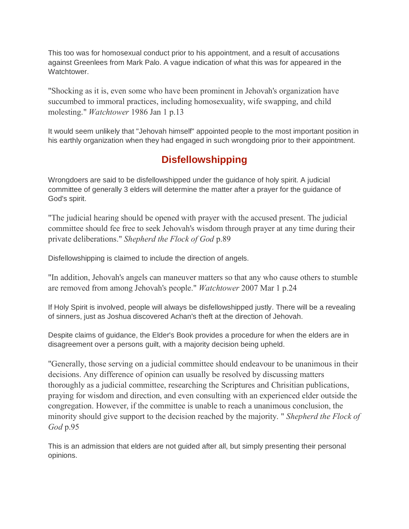This too was for homosexual conduct prior to his appointment, and a result of accusations against Greenlees from Mark Palo. A vague indication of what this was for appeared in the **Watchtower** 

"Shocking as it is, even some who have been prominent in Jehovah's organization have succumbed to immoral practices, including homosexuality, wife swapping, and child molesting." *Watchtower* 1986 Jan 1 p.13

It would seem unlikely that "Jehovah himself" appointed people to the most important position in his earthly organization when they had engaged in such wrongdoing prior to their appointment.

### **Disfellowshipping**

Wrongdoers are said to be disfellowshipped under the guidance of holy spirit. A judicial committee of generally 3 elders will determine the matter after a prayer for the guidance of God's spirit.

"The judicial hearing should be opened with prayer with the accused present. The judicial committee should fee free to seek Jehovah's wisdom through prayer at any time during their private deliberations." *Shepherd the Flock of God* p.89

Disfellowshipping is claimed to include the direction of angels.

"In addition, Jehovah's angels can maneuver matters so that any who cause others to stumble are removed from among Jehovah's people." *Watchtower* 2007 Mar 1 p.24

If Holy Spirit is involved, people will always be disfellowshipped justly. There will be a revealing of sinners, just as Joshua discovered Achan's theft at the direction of Jehovah.

Despite claims of guidance, the Elder's Book provides a procedure for when the elders are in disagreement over a persons guilt, with a majority decision being upheld.

"Generally, those serving on a judicial committee should endeavour to be unanimous in their decisions. Any difference of opinion can usually be resolved by discussing matters thoroughly as a judicial committee, researching the Scriptures and Chrisitian publications, praying for wisdom and direction, and even consulting with an experienced elder outside the congregation. However, if the committee is unable to reach a unanimous conclusion, the minority should give support to the decision reached by the majority. " *Shepherd the Flock of God* p.95

This is an admission that elders are not guided after all, but simply presenting their personal opinions.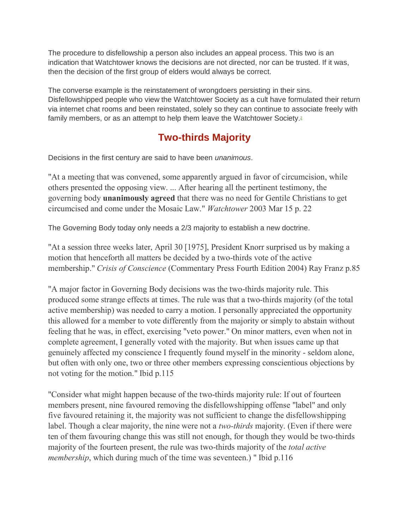The procedure to disfellowship a person also includes an appeal process. This two is an indication that Watchtower knows the decisions are not directed, nor can be trusted. If it was, then the decision of the first group of elders would always be correct.

The converse example is the reinstatement of wrongdoers persisting in their sins. Disfellowshipped people who view the Watchtower Society as a cult have formulated their return via internet chat rooms and been reinstated, solely so they can continue to associate freely with family members, or as an attempt to help them leave the Watchtower Society[.](https://jwfacts.com/watchtower/directed-by-holy-spirit.php#fn2)<sup>2</sup>

# **Two-thirds Majority**

Decisions in the first century are said to have been *unanimous*.

"At a meeting that was convened, some apparently argued in favor of circumcision, while others presented the opposing view. ... After hearing all the pertinent testimony, the governing body **unanimously agreed** that there was no need for Gentile Christians to get circumcised and come under the Mosaic Law." *Watchtower* 2003 Mar 15 p. 22

The Governing Body today only needs a 2/3 majority to establish a new doctrine.

"At a session three weeks later, April 30 [1975], President Knorr surprised us by making a motion that henceforth all matters be decided by a two-thirds vote of the active membership." *Crisis of Conscience* (Commentary Press Fourth Edition 2004) Ray Franz p.85

"A major factor in Governing Body decisions was the two-thirds majority rule. This produced some strange effects at times. The rule was that a two-thirds majority (of the total active membership) was needed to carry a motion. I personally appreciated the opportunity this allowed for a member to vote differently from the majority or simply to abstain without feeling that he was, in effect, exercising "veto power." On minor matters, even when not in complete agreement, I generally voted with the majority. But when issues came up that genuinely affected my conscience I frequently found myself in the minority - seldom alone, but often with only one, two or three other members expressing conscientious objections by not voting for the motion." Ibid p.115

"Consider what might happen because of the two-thirds majority rule: If out of fourteen members present, nine favoured removing the disfellowshipping offense "label" and only five favoured retaining it, the majority was not sufficient to change the disfellowshipping label. Though a clear majority, the nine were not a *two-thirds* majority. (Even if there were ten of them favouring change this was still not enough, for though they would be two-thirds majority of the fourteen present, the rule was two-thirds majority of the *total active membership*, which during much of the time was seventeen.) " Ibid p.116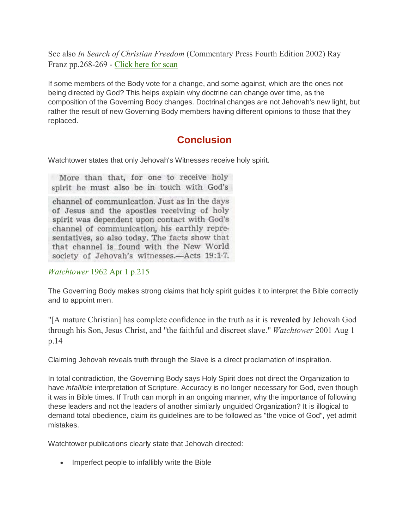See also *In Search of Christian Freedom* (Commentary Press Fourth Edition 2002) Ray Franz pp.268-269 - [Click here for scan](https://jwfacts.com/images/two-third-majority.pdf)

If some members of the Body vote for a change, and some against, which are the ones not being directed by God? This helps explain why doctrine can change over time, as the composition of the Governing Body changes. Doctrinal changes are not Jehovah's new light, but rather the result of new Governing Body members having different opinions to those that they replaced.

#### **Conclusion**

Watchtower states that only Jehovah's Witnesses receive holy spirit.

More than that, for one to receive holy spirit he must also be in touch with God's

channel of communication. Just as in the days of Jesus and the apostles receiving of holy spirit was dependent upon contact with God's channel of communication, his earthly representatives, so also today. The facts show that that channel is found with the New World society of Jehovah's witnesses.—Acts 19:1-7.

*Watchtower* [1962 Apr 1 p.215](https://jwfacts.com/pdf/watchtower-1962-april-1-page-215-holy-spirit.pdf)

The Governing Body makes strong claims that holy spirit guides it to interpret the Bible correctly and to appoint men.

"[A mature Christian] has complete confidence in the truth as it is **revealed** by Jehovah God through his Son, Jesus Christ, and "the faithful and discreet slave." *Watchtower* 2001 Aug 1 p.14

Claiming Jehovah reveals truth through the Slave is a direct proclamation of inspiration.

In total contradiction, the Governing Body says Holy Spirit does not direct the Organization to have *infallible* interpretation of Scripture. Accuracy is no longer necessary for God, even though it was in Bible times. If Truth can morph in an ongoing manner, why the importance of following these leaders and not the leaders of another similarly unguided Organization? It is illogical to demand total obedience, claim its guidelines are to be followed as "the voice of God", yet admit mistakes.

Watchtower publications clearly state that Jehovah directed:

• Imperfect people to infallibly write the Bible